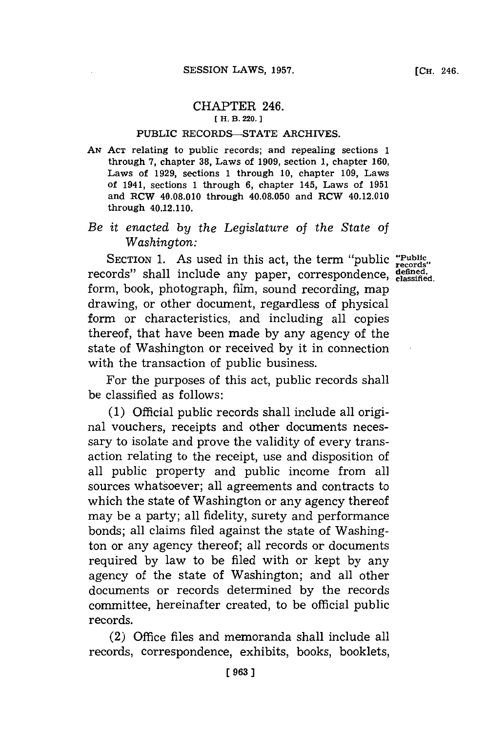## CHAPTER 246. **[ H. B. 220.]1**

## **PUBLIC** RECORDS-STATE ARCHIVES.

*AN* **ACT** relating to public records; and repealing sections **1** through **7,** chapter **38,** Laws of **1909,** section **1,** chapter **160,** Laws of **1929,** sections **1** through **10,** chapter **109,** Laws of 1941, sections **1** through **6,** chapter 145, Laws of **1951** and RCW 40.08.010 through 40.08.050 and RCW 40.12.010 through 40.12.110.

## *Be it enacted by the Legislature of the State of Washington:*

SECTION 1. As used in this act, the term "public **"Public** records" shall include any paper, correspondence, defined, form, book, photograph, film, sound recording, map drawing, or other document, regardless of physical form or characteristics, and including all copies thereof, that have been made **by** any agency of the state of Washington or received **by** it in connection with the transaction of public business.

For the purposes of this act, public records shall be classified as follows:

**(1)** Official public records shall include all original vouchers, receipts and other documents necessary to isolate and prove the validity of every transaction relating to the receipt, use and disposition of all public property and public income from all sources whatsoever; all agreements and contracts to which the state of Washington or any agency thereof may be a party; all fidelity, surety and performance bonds; all claims filed against the state of Washington or any agency thereof; all records or documents required **by** law to be filed with or kept **by** any agency of the state of Washington; and all other documents or records determined **by** the records committee, hereinafter created, to be official public records.

(2) Office files and memoranda shall include all records, correspondence, exhibits, books, booklets,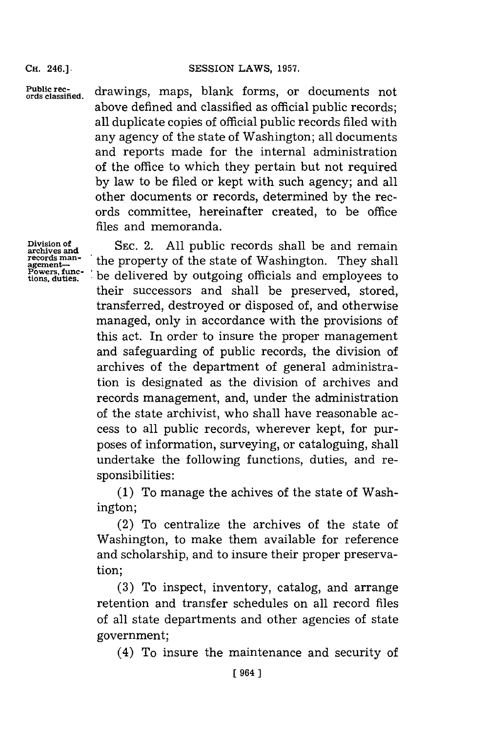**Public records classified.**

drawings, maps, blank forms, or documents not above defined and classified as official public records; all duplicate copies of official public records filed with any agency of the state of Washington; all documents and reports made for the internal administration of the office to which they pertain but not required **by** law to be filed or kept with such agency; and all other documents or records, determined **by** the records committee, hereinafter created, to be office files and memoranda.

**Division of archives and records man- agement-Pow ers, func-tions, duties.**

**SEC.** 2. **All** public records shall be and remain the property of the state of Washington. They shall be delivered **by** outgoing officials and employees to their successors and shall be preserved, stored, transferred, destroyed or disposed of, and otherwise managed, only in accordance with the provisions of this act. In order to insure the proper management and safeguarding of public records, the division of archives of the department of general administration is designated as the division of archives and records management, and, under the administration of the state archivist, who shall have reasonable access to all public records, wherever kept, for purposes of information, surveying, or cataloguing, shall undertake the following functions, duties, and responsibilities:

**(1)** To manage the achives of the state of Washington;

(2) To centralize the archives of the state of Washington, to make them available for reference and scholarship, and to insure their proper preservation;

**(3)** To inspect, inventory, catalog, and arrange retention and transfer schedules on all record files of all state departments and other agencies of state government;

(4) To insure the maintenance and security of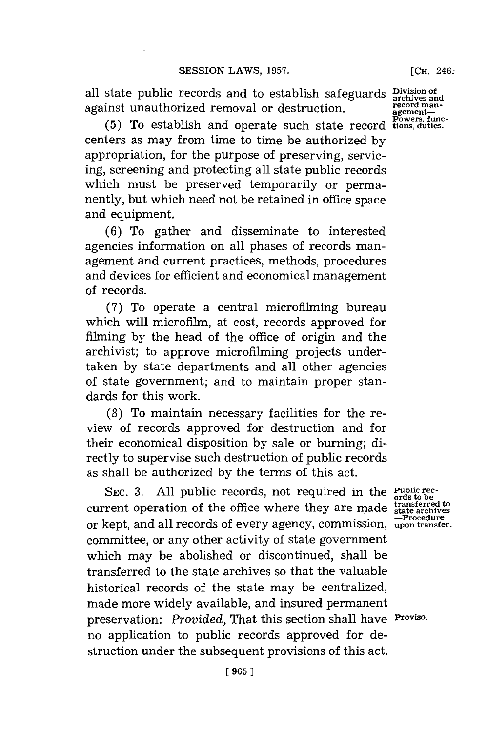all state public records and to establish safeguards **Division of archives and** against unauthorized removal or destruction.

**(5)** To establish and operate such state record centers as may from time to time be authorized **by** appropriation, for the purpose of preserving, servicing, screening and protecting all state public records which must be preserved temporarily or permanently, but which need not be retained in office space and equipment.

**(6)** To gather and disseminate to interested agencies information on all phases of records management and current practices, methods, procedures and devices for efficient and economical management of records.

**(7)** To operate a central microfilming bureau which will microfilm, at cost, records approved for filming **by** the head of the office of origin and the archivist; to approve microfilming projects undertaken **by** state departments and all other agencies of state government; and to maintain proper standards for this work.

**(8)** To maintain necessary facilities for the review of records approved for destruction and for their economical disposition **by** sale or burning; directly to supervise such destruction of public records as shall be authorized **by** the terms of this act.

SEc. **3. All** public records, not required in the **Public rec- ords to be** EC. 3. All public records, not required in the rubic research operation of the office where they are made **that archives**<br>
and all records of overy agency commission <u>Procedure</u> or kept, and all records of every agency, commission, **upon transfer.** committee, or any other activity of state government which may be abolished or discontinued, shall be transferred to the state archives so that the valuable historical records of the state may be centralized, made more widely available, and insured permanent preservation: *Provided,* That this section shall have **Proviso.** no application to public records approved for destruction under the subsequent provisions of this act.

**record man-**<br> **agement—**<br> **Powers, func-**<br> **tions, duties.**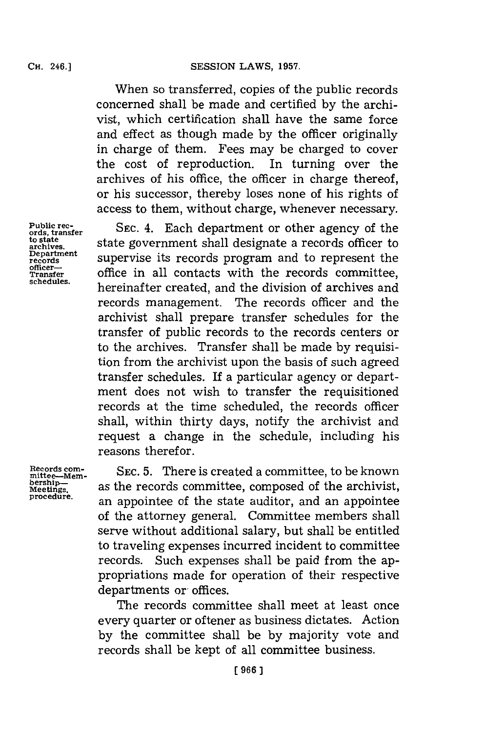When so transferred, copies of the public records concerned shall be made and certified **by** the archivist, which certification shall have the same force and effect as though made **by** the officer originally in charge of them. Fees may be charged to cover the cost of reproduction. In turning over the archives of his office, the officer in charge thereof, or his successor, thereby loses none of his rights of access to them, without charge, whenever necessary.

**SEC.** 4. Each department or other agency of the state government shall designate a records officer to supervise its records program and to represent the office in all contacts with the records committee, hereinafter created, and the division of archives and records management. The records officer and the archivist shall prepare transfer schedules for the transfer of public records to the records centers or to the archives. Transfer shall be made **by** requisition from the archivist upon the basis of such agreed transfer schedules. If a particular agency or department does not wish to transfer the requisitioned records at the time scheduled, the records officer shall, within thirty days, notify the archivist and request a change in the schedule, including his reasons therefor.

**SEC. 5.** There is created a committee, to be known as the records committee, composed of the archivist, an appointee of the state auditor, and an appointee of the attorney general. Committee members shall serve without additional salary, but shall be entitled to traveling expenses incurred incident to committee records. Such expenses shall be paid from the appropriations made for operation of their respective departments or offices.

The records committee shall meet at least once every quarter or oftener as business dictates. Action **by** the committee shall be **by** majority vote and records shall be kept of all committee business.

**Public rec- ords, transfer to state archives. Department records officer-Transfer schedules.**

**Records corn- niittee-Membership-Meetings. procedure.**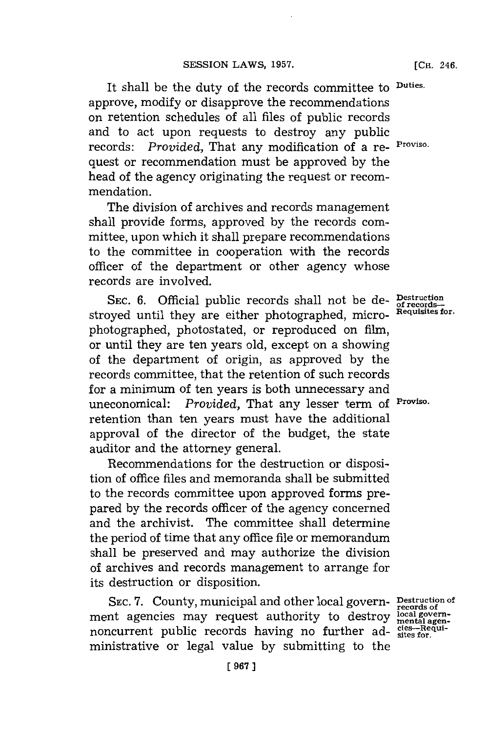It shall be the duty of the records committee to **Duties.** approve, modify or disapprove the recommendations on retention schedules of all files of public records and to act upon requests to destroy any public records: *Provided,* That any modification of a re- **Proviso.** quest or recommendation must be approved **by** the head of the agency originating the request or recommendation.

The division of archives and records management shall provide forms, approved **by** the records committee, upon which it shall prepare recommendations to the committee in cooperation with the records officer of the department or other agency whose records are involved.

SEC. 6. Official public records shall not be de- **Destruct** stroyed until they are either photographed, micro- **Requisiti** photographed, photostated, or reproduced on film, or until they are ten years old, except on a showing of the department of origin, as approved **by** the records committee, that the retention of such records for a minimum of ten years is both unnecessary and uneconomical: *Provided,* That any lesser term of **Proviso.** retention than ten years must have the additional approval of the director of the budget, the state auditor and the attorney general.

Recommendations for the destruction or disposition of office files and memoranda shall be submitted to the records committee upon approved forms prepared **by** the records officer of the agency concerned and the archivist. The committee shall determine the period of time that any office file or memorandum shall be preserved and may authorize the division of archives and records management to arrange for its destruction or disposition.

SEC. 7. County, municipal and other local govern<sub>records</sub> of of ment agencies may request authority to destroy ment agencies may request authority to destroy  $\frac{\text{local}}{\text{general}}$ <br>noncurrent public records having no further ad- $\frac{\text{ciss}-\text{Re}}{\text{states for.}}}$ ministrative or legal value **by** submitting to the

**gen-qui-**

**ion Is-es for.**